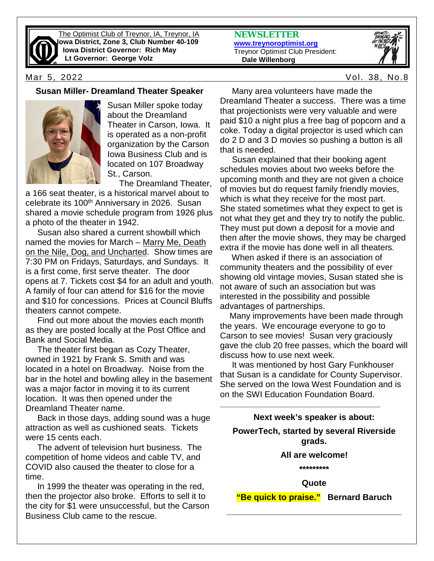

The Optimist Club of Treynor, IA, Treynor, IA **Iowa District, Zone 3, Club Number 40-109 Iowa District Governor: Rich May Lt Governor: George Volz**

**NEWSLETTER [www.treynoroptimist.org](http://www.treynoroptimist.org/)** Treynor Optimist Club President:  **Dale Willenborg**



#### Mar 5, 2022 Vol. 38, No.8

#### **Susan Miller- Dreamland Theater Speaker**



Susan Miller spoke today about the Dreamland Theater in Carson, Iowa. It is operated as a non-profit organization by the Carson Iowa Business Club and is located on 107 Broadway St., Carson.

The Dreamland Theater,

a 166 seat theater, is a historical marvel about to celebrate its 100<sup>th</sup> Anniversary in 2026. Susan shared a movie schedule program from 1926 plus a photo of the theater in 1942.

 Susan also shared a current showbill which named the movies for March – Marry Me, Death on the Nile, Dog, and Uncharted. Show times are 7:30 PM on Fridays, Saturdays, and Sundays. It is a first come, first serve theater. The door opens at 7. Tickets cost \$4 for an adult and youth. A family of four can attend for \$16 for the movie and \$10 for concessions. Prices at Council Bluffs theaters cannot compete.

 Find out more about the movies each month as they are posted locally at the Post Office and Bank and Social Media.

 The theater first began as Cozy Theater, owned in 1921 by Frank S. Smith and was located in a hotel on Broadway. Noise from the bar in the hotel and bowling alley in the basement was a major factor in moving it to its current location. It was then opened under the Dreamland Theater name.

 Back in those days, adding sound was a huge attraction as well as cushioned seats. Tickets were 15 cents each.

 The advent of television hurt business. The competition of home videos and cable TV, and COVID also caused the theater to close for a time.

 In 1999 the theater was operating in the red, then the projector also broke. Efforts to sell it to the city for \$1 were unsuccessful, but the Carson Business Club came to the rescue.

 Many area volunteers have made the Dreamland Theater a success. There was a time that projectionists were very valuable and were paid \$10 a night plus a free bag of popcorn and a coke. Today a digital projector is used which can do 2 D and 3 D movies so pushing a button is all that is needed.

 Susan explained that their booking agent schedules movies about two weeks before the upcoming month and they are not given a choice of movies but do request family friendly movies, which is what they receive for the most part. She stated sometimes what they expect to get is not what they get and they try to notify the public. They must put down a deposit for a movie and then after the movie shows, they may be charged extra if the movie has done well in all theaters.

 When asked if there is an association of community theaters and the possibility of ever showing old vintage movies, Susan stated she is not aware of such an association but was interested in the possibility and possible advantages of partnerships.

 Many improvements have been made through the years. We encourage everyone to go to Carson to see movies! Susan very graciously gave the club 20 free passes, which the board will discuss how to use next week.

 It was mentioned by host Gary Funkhouser that Susan is a candidate for County Supervisor. She served on the Iowa West Foundation and is on the SWI Education Foundation Board.

**\_\_\_\_\_\_\_\_\_\_\_\_\_\_\_\_\_\_\_\_\_\_\_\_\_\_\_\_\_\_\_\_\_\_\_\_\_**

**Next week's speaker is about: PowerTech, started by several Riverside grads. All are welcome!**

**\*\*\*\*\*\*\*\*\***

**Quote**

**"Be quick to praise." Bernard Baruch**

**\_\_\_\_\_\_\_\_\_\_\_\_\_\_\_\_\_\_\_\_\_\_\_\_\_\_\_\_\_\_\_\_\_\_\_\_\_**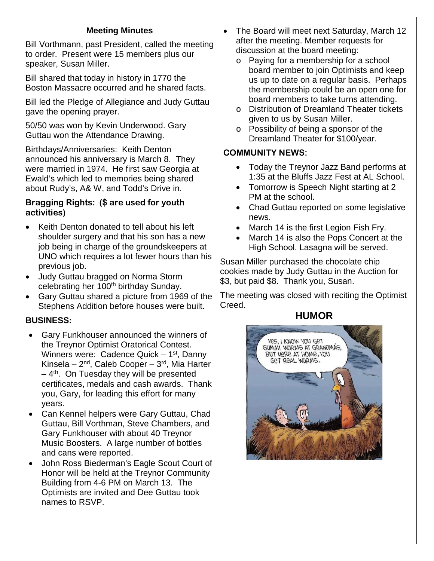## **Meeting Minutes**

Bill Vorthmann, past President, called the meeting to order. Present were 15 members plus our speaker, Susan Miller.

Bill shared that today in history in 1770 the Boston Massacre occurred and he shared facts.

Bill led the Pledge of Allegiance and Judy Guttau gave the opening prayer.

50/50 was won by Kevin Underwood. Gary Guttau won the Attendance Drawing.

Birthdays/Anniversaries: Keith Denton announced his anniversary is March 8. They were married in 1974. He first saw Georgia at Ewald's which led to memories being shared about Rudy's, A& W, and Todd's Drive in.

### **Bragging Rights: (\$ are used for youth activities)**

- Keith Denton donated to tell about his left shoulder surgery and that his son has a new job being in charge of the groundskeepers at UNO which requires a lot fewer hours than his previous job.
- Judy Guttau bragged on Norma Storm celebrating her 100<sup>th</sup> birthday Sunday.
- Gary Guttau shared a picture from 1969 of the Stephens Addition before houses were built.

# **BUSINESS:**

- Gary Funkhouser announced the winners of the Treynor Optimist Oratorical Contest. Winners were: Cadence Quick  $-1$ <sup>st</sup>, Danny Kinsela –  $2^{nd}$ , Caleb Cooper –  $3^{rd}$ , Mia Harter  $-4$ <sup>th</sup>. On Tuesday they will be presented certificates, medals and cash awards. Thank you, Gary, for leading this effort for many years.
- Can Kennel helpers were Gary Guttau, Chad Guttau, Bill Vorthman, Steve Chambers, and Gary Funkhouser with about 40 Treynor Music Boosters. A large number of bottles and cans were reported.
- John Ross Biederman's Eagle Scout Court of Honor will be held at the Treynor Community Building from 4-6 PM on March 13. The Optimists are invited and Dee Guttau took names to RSVP.
- The Board will meet next Saturday, March 12 after the meeting. Member requests for discussion at the board meeting:
	- o Paying for a membership for a school board member to join Optimists and keep us up to date on a regular basis. Perhaps the membership could be an open one for board members to take turns attending.
	- o Distribution of Dreamland Theater tickets given to us by Susan Miller.
	- o Possibility of being a sponsor of the Dreamland Theater for \$100/year.

### **COMMUNITY NEWS:**

- Today the Treynor Jazz Band performs at 1:35 at the Bluffs Jazz Fest at AL School.
- Tomorrow is Speech Night starting at 2 PM at the school.
- Chad Guttau reported on some legislative news.
- March 14 is the first Legion Fish Fry.
- March 14 is also the Pops Concert at the High School. Lasagna will be served.

Susan Miller purchased the chocolate chip cookies made by Judy Guttau in the Auction for \$3, but paid \$8. Thank you, Susan.

The meeting was closed with reciting the Optimist Creed.

# **HUMOR**